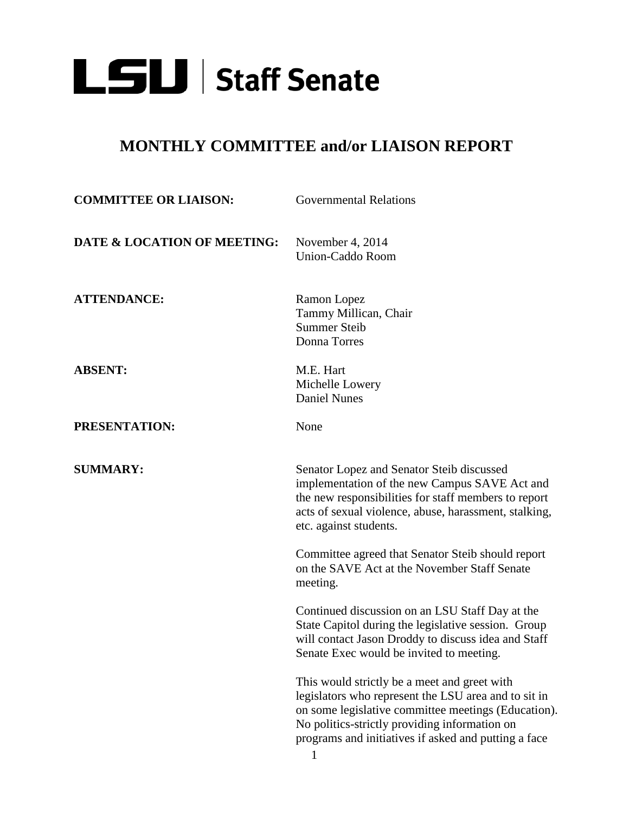

## **MONTHLY COMMITTEE and/or LIAISON REPORT**

| <b>COMMITTEE OR LIAISON:</b> | <b>Governmental Relations</b>                                                                                                                                                                                                                                        |
|------------------------------|----------------------------------------------------------------------------------------------------------------------------------------------------------------------------------------------------------------------------------------------------------------------|
| DATE & LOCATION OF MEETING:  | November 4, 2014<br><b>Union-Caddo Room</b>                                                                                                                                                                                                                          |
| <b>ATTENDANCE:</b>           | Ramon Lopez<br>Tammy Millican, Chair<br><b>Summer Steib</b><br>Donna Torres                                                                                                                                                                                          |
| <b>ABSENT:</b>               | M.E. Hart<br>Michelle Lowery<br><b>Daniel Nunes</b>                                                                                                                                                                                                                  |
| PRESENTATION:                | None                                                                                                                                                                                                                                                                 |
| <b>SUMMARY:</b>              | Senator Lopez and Senator Steib discussed<br>implementation of the new Campus SAVE Act and<br>the new responsibilities for staff members to report<br>acts of sexual violence, abuse, harassment, stalking,<br>etc. against students.                                |
|                              | Committee agreed that Senator Steib should report<br>on the SAVE Act at the November Staff Senate<br>meeting.                                                                                                                                                        |
|                              | Continued discussion on an LSU Staff Day at the<br>State Capitol during the legislative session. Group<br>will contact Jason Droddy to discuss idea and Staff<br>Senate Exec would be invited to meeting.                                                            |
|                              | This would strictly be a meet and greet with<br>legislators who represent the LSU area and to sit in<br>on some legislative committee meetings (Education).<br>No politics-strictly providing information on<br>programs and initiatives if asked and putting a face |